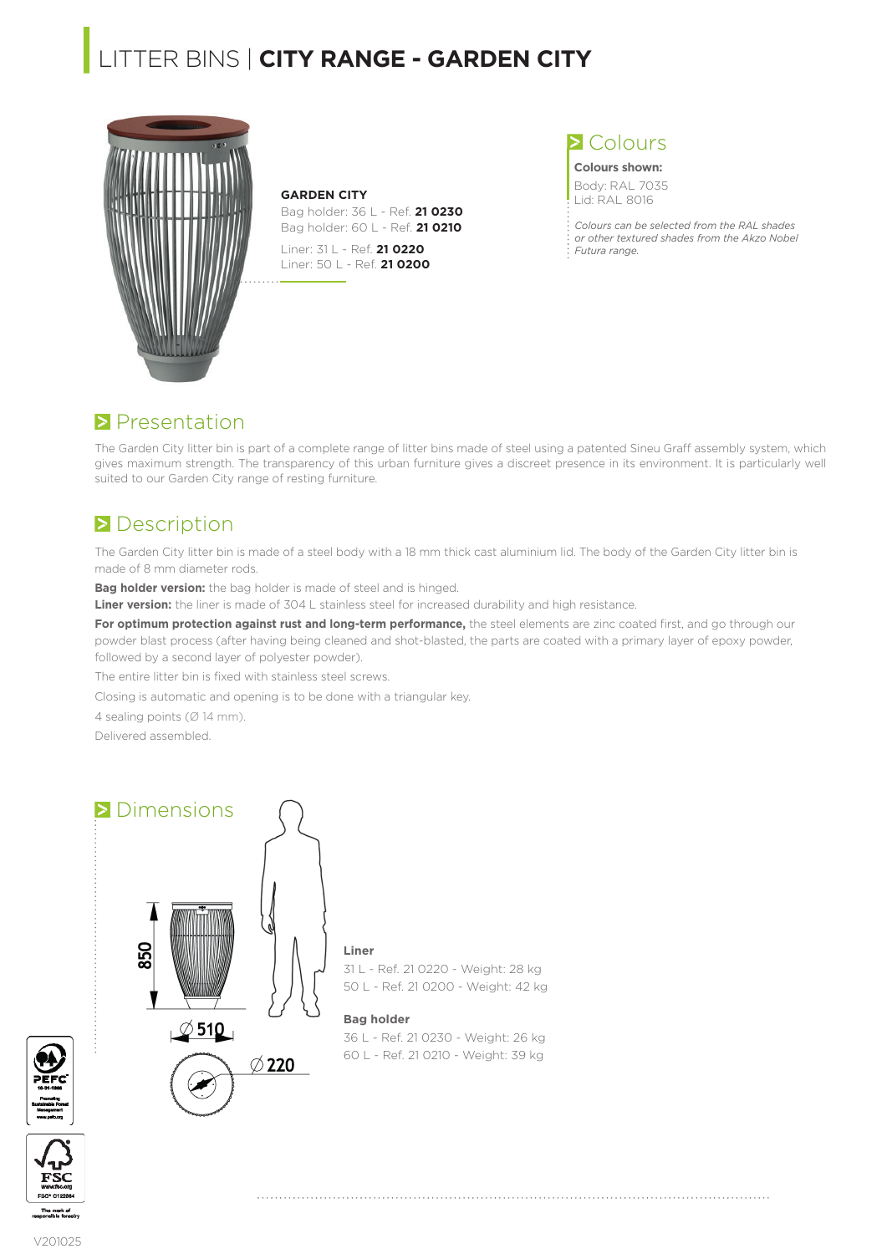# **|**LITTER BINS | **CITY RANGE - GARDEN CITY**



**GARDEN CITY** Bag holder: 36 L - Ref. **21 0230**  Bag holder: 60 L - Ref. **21 0210**

Liner: 31 L - Ref. **21 0220** Liner: 50 L - Ref. **21 0200**

### **>** Colours

**Colours shown:** Body: RAL 7035 Lid: RAL 8016

*Colours can be selected from the RAL shades or other textured shades from the Akzo Nobel Futura range.*

### **Presentation**

The Garden City litter bin is part of a complete range of litter bins made of steel using a patented Sineu Graff assembly system, which gives maximum strength. The transparency of this urban furniture gives a discreet presence in its environment. It is particularly well suited to our Garden City range of resting furniture.

# **Description**

The Garden City litter bin is made of a steel body with a 18 mm thick cast aluminium lid. The body of the Garden City litter bin is made of 8 mm diameter rods.

**Bag holder version:** the bag holder is made of steel and is hinged.

**Liner version:** the liner is made of 304 L stainless steel for increased durability and high resistance.

For optimum protection against rust and long-term performance, the steel elements are zinc coated first, and go through our powder blast process (after having being cleaned and shot-blasted, the parts are coated with a primary layer of epoxy powder, followed by a second layer of polyester powder).

The entire litter bin is fixed with stainless steel screws.

Closing is automatic and opening is to be done with a triangular key.

4 sealing points (Ø 14 mm).

Delivered assembled.

### **Dimensions**



31 L - Ref. 21 0220 - Weight: 28 kg 50 L - Ref. 21 0200 - Weight: 42 kg

#### **Bag holder**

**Liner**

36 L - Ref. 21 0230 - Weight: 26 kg 60 L - Ref. 21 0210 - Weight: 39 kg



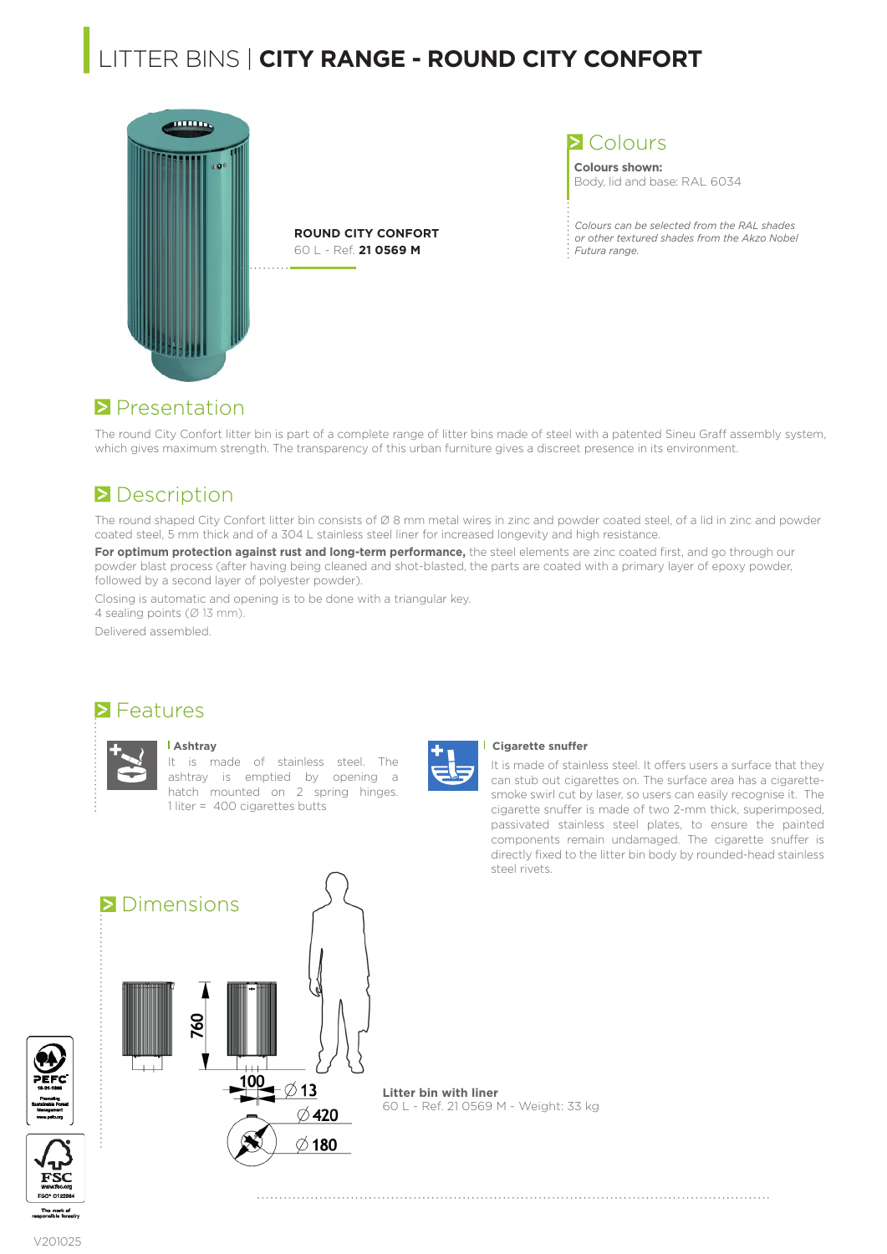# **|**LITTER BINS | **CITY RANGE - ROUND CITY CONFORT**



**ROUND CITY CONFORT** 60 L - Ref. **21 0569 M**

**>** Colours

**Colours shown:** Body, lid and base: RAL 6034

*Colours can be selected from the RAL shades or other textured shades from the Akzo Nobel Futura range.*

### **Presentation**

The round City Confort litter bin is part of a complete range of litter bins made of steel with a patented Sineu Graff assembly system, which gives maximum strength. The transparency of this urban furniture gives a discreet presence in its environment.

## **Description**

The round shaped City Confort litter bin consists of Ø 8 mm metal wires in zinc and powder coated steel, of a lid in zinc and powder coated steel, 5 mm thick and of a 304 L stainless steel liner for increased longevity and high resistance.

For optimum protection against rust and long-term performance, the steel elements are zinc coated first, and go through our powder blast process (after having being cleaned and shot-blasted, the parts are coated with a primary layer of epoxy powder, followed by a second layer of polyester powder).

Closing is automatic and opening is to be done with a triangular key. 4 sealing points (Ø 13 mm).

Delivered assembled.

### **S** Features



#### **Ashtray**

It is made of stainless steel. The ashtray is emptied by opening a hatch mounted on 2 spring hinges. 1 liter = 400 cigarettes butts



#### **Cigarette snuffer**

It is made of stainless steel. It offers users a surface that they can stub out cigarettes on. The surface area has a cigarettesmoke swirl cut by laser, so users can easily recognise it. The cigarette snuffer is made of two 2-mm thick, superimposed, passivated stainless steel plates, to ensure the painted components remain undamaged. The cigarette snuffer is directly fixed to the litter bin body by rounded-head stainless steel rivets.



**Litter bin with liner** 60 L - Ref. 21 0569 M - Weight: 33 kg